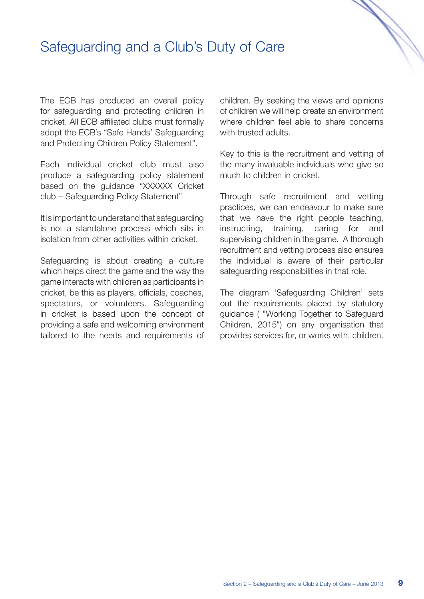## Safeguarding and a Club's Duty of Care

The ECB has produced an overall policy for safeguarding and protecting children in cricket. All ECB affiliated clubs must formally adopt the ECB's "Safe Hands' Safeguarding and Protecting Children Policy Statement".

Each individual cricket club must also produce a safeguarding policy statement based on the guidance "XXXXXX Cricket club – Safeguarding Policy Statement"

It is important to understand that safeguarding is not a standalone process which sits in isolation from other activities within cricket.

Safeguarding is about creating a culture which helps direct the game and the way the game interacts with children as participants in cricket, be this as players, officials, coaches, spectators, or volunteers. Safeguarding in cricket is based upon the concept of providing a safe and welcoming environment tailored to the needs and requirements of children. By seeking the views and opinions of children we will help create an environment where children feel able to share concerns with trusted adults.

Key to this is the recruitment and vetting of the many invaluable individuals who give so much to children in cricket.

Through safe recruitment and vetting practices, we can endeavour to make sure that we have the right people teaching, instructing, training, caring for and supervising children in the game. A thorough recruitment and vetting process also ensures the individual is aware of their particular safeguarding responsibilities in that role.

The diagram 'Safeguarding Children' sets out the requirements placed by statutory guidance ( "Working Together to Safeguard Children, 2015") on any organisation that provides services for, or works with, children.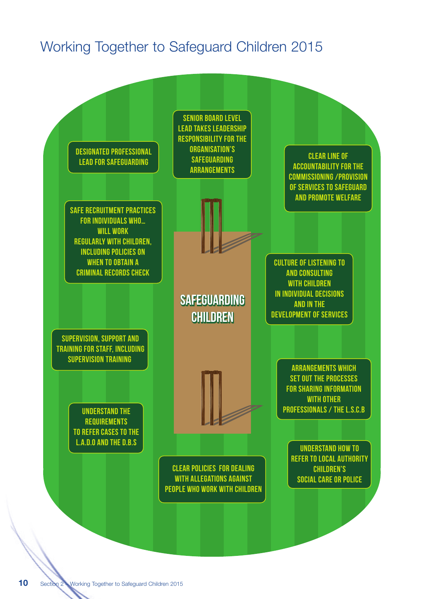# Working Together to Safeguard Children 2015

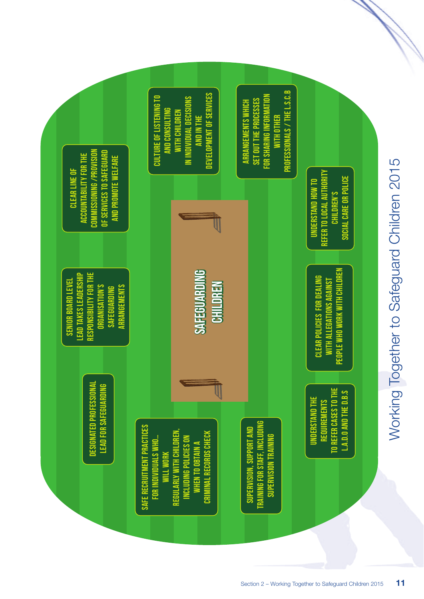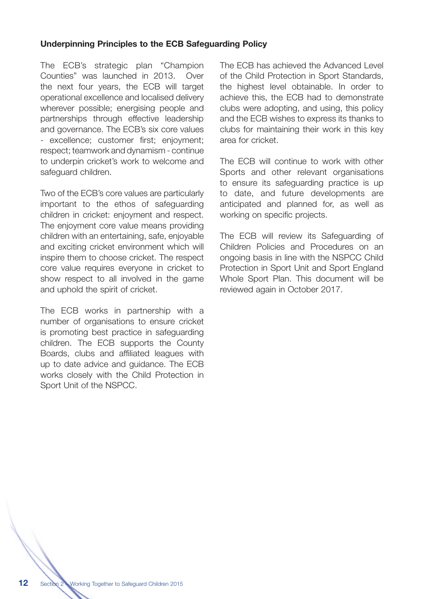## **Underpinning Principles to the ECB Safeguarding Policy**

The ECB's strategic plan "Champion Counties" was launched in 2013. Over the next four years, the ECB will target operational excellence and localised delivery wherever possible; energising people and partnerships through effective leadership and governance. The ECB's six core values - excellence; customer first; enjoyment; respect; teamwork and dynamism - continue to underpin cricket's work to welcome and safeguard children.

Two of the ECB's core values are particularly important to the ethos of safeguarding children in cricket: enjoyment and respect. The enjoyment core value means providing children with an entertaining, safe, enjoyable and exciting cricket environment which will inspire them to choose cricket. The respect core value requires everyone in cricket to show respect to all involved in the game and uphold the spirit of cricket.

The ECB works in partnership with a number of organisations to ensure cricket is promoting best practice in safeguarding children. The ECB supports the County Boards, clubs and affiliated leagues with up to date advice and guidance. The ECB works closely with the Child Protection in Sport Unit of the NSPCC.

The ECB has achieved the Advanced Level of the Child Protection in Sport Standards, the highest level obtainable. In order to achieve this, the ECB had to demonstrate clubs were adopting, and using, this policy and the ECB wishes to express its thanks to clubs for maintaining their work in this key area for cricket.

The ECB will continue to work with other Sports and other relevant organisations to ensure its safeguarding practice is up to date, and future developments are anticipated and planned for, as well as working on specific projects.

The ECB will review its Safeguarding of Children Policies and Procedures on an ongoing basis in line with the NSPCC Child Protection in Sport Unit and Sport England Whole Sport Plan. This document will be reviewed again in October 2017.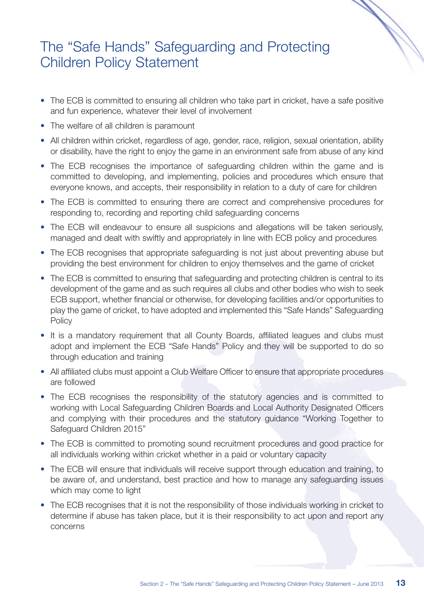## The "Safe Hands" Safeguarding and Protecting Children Policy Statement

- The ECB is committed to ensuring all children who take part in cricket, have a safe positive and fun experience, whatever their level of involvement
- The welfare of all children is paramount
- All children within cricket, regardless of age, gender, race, religion, sexual orientation, ability or disability, have the right to enjoy the game in an environment safe from abuse of any kind
- The ECB recognises the importance of safeguarding children within the game and is committed to developing, and implementing, policies and procedures which ensure that everyone knows, and accepts, their responsibility in relation to a duty of care for children
- The ECB is committed to ensuring there are correct and comprehensive procedures for responding to, recording and reporting child safeguarding concerns
- The ECB will endeavour to ensure all suspicions and allegations will be taken seriously, managed and dealt with swiftly and appropriately in line with ECB policy and procedures
- The ECB recognises that appropriate safeguarding is not just about preventing abuse but providing the best environment for children to enjoy themselves and the game of cricket
- The ECB is committed to ensuring that safeguarding and protecting children is central to its development of the game and as such requires all clubs and other bodies who wish to seek ECB support, whether financial or otherwise, for developing facilities and/or opportunities to play the game of cricket, to have adopted and implemented this "Safe Hands" Safeguarding **Policy**
- It is a mandatory requirement that all County Boards, affiliated leagues and clubs must adopt and implement the ECB "Safe Hands" Policy and they will be supported to do so through education and training
- All affiliated clubs must appoint a Club Welfare Officer to ensure that appropriate procedures are followed
- The ECB recognises the responsibility of the statutory agencies and is committed to working with Local Safeguarding Children Boards and Local Authority Designated Officers and complying with their procedures and the statutory guidance "Working Together to Safeguard Children 2015"
- The ECB is committed to promoting sound recruitment procedures and good practice for all individuals working within cricket whether in a paid or voluntary capacity
- The ECB will ensure that individuals will receive support through education and training, to be aware of, and understand, best practice and how to manage any safeguarding issues which may come to light
- The ECB recognises that it is not the responsibility of those individuals working in cricket to determine if abuse has taken place, but it is their responsibility to act upon and report any concerns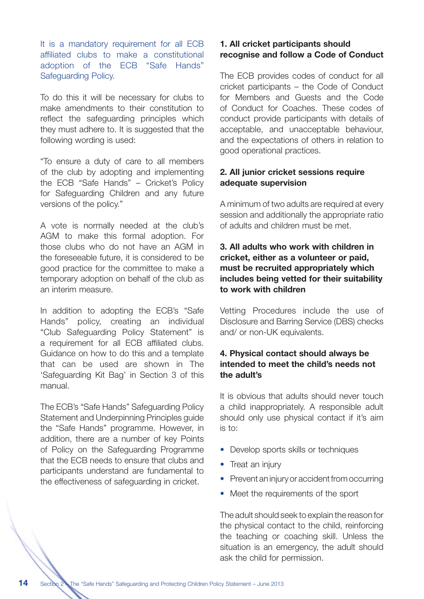It is a mandatory requirement for all ECB affiliated clubs to make a constitutional adoption of the ECB "Safe Hands" Safeguarding Policy.

To do this it will be necessary for clubs to make amendments to their constitution to reflect the safeguarding principles which they must adhere to. It is suggested that the following wording is used:

"To ensure a duty of care to all members of the club by adopting and implementing the ECB "Safe Hands" – Cricket's Policy for Safeguarding Children and any future versions of the policy."

A vote is normally needed at the club's AGM to make this formal adoption. For those clubs who do not have an AGM in the foreseeable future, it is considered to be good practice for the committee to make a temporary adoption on behalf of the club as an interim measure.

In addition to adopting the ECB's "Safe Hands" policy, creating an individual "Club Safeguarding Policy Statement" is a requirement for all ECB affiliated clubs. Guidance on how to do this and a template that can be used are shown in The 'Safeguarding Kit Bag' in Section 3 of this manual.

The ECB's "Safe Hands" Safeguarding Policy Statement and Underpinning Principles guide the "Safe Hands" programme. However, in addition, there are a number of key Points of Policy on the Safeguarding Programme that the ECB needs to ensure that clubs and participants understand are fundamental to the effectiveness of safeguarding in cricket.

## **1. All cricket participants should recognise and follow a Code of Conduct**

The ECB provides codes of conduct for all cricket participants – the Code of Conduct for Members and Guests and the Code of Conduct for Coaches. These codes of conduct provide participants with details of acceptable, and unacceptable behaviour, and the expectations of others in relation to good operational practices.

## **2. All junior cricket sessions require adequate supervision**

A minimum of two adults are required at every session and additionally the appropriate ratio of adults and children must be met.

## **3. All adults who work with children in cricket, either as a volunteer or paid, must be recruited appropriately which includes being vetted for their suitability to work with children**

Vetting Procedures include the use of Disclosure and Barring Service (DBS) checks and/ or non-UK equivalents.

## **4. Physical contact should always be intended to meet the child's needs not the adult's**

It is obvious that adults should never touch a child inappropriately. A responsible adult should only use physical contact if it's aim is to:

- Develop sports skills or techniques
- Treat an injury
- Prevent an injury or accident from occurring
- Meet the requirements of the sport

The adult should seek to explain the reason for the physical contact to the child, reinforcing the teaching or coaching skill. Unless the situation is an emergency, the adult should ask the child for permission.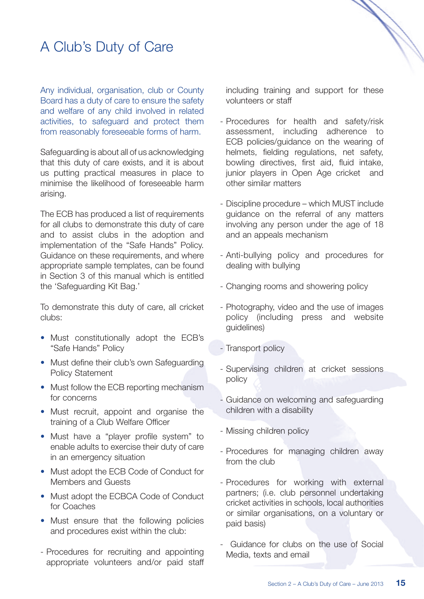# A Club's Duty of Care

Any individual, organisation, club or County Board has a duty of care to ensure the safety and welfare of any child involved in related activities, to safeguard and protect them from reasonably foreseeable forms of harm.

Safeguarding is about all of us acknowledging that this duty of care exists, and it is about us putting practical measures in place to minimise the likelihood of foreseeable harm arising.

The ECB has produced a list of requirements for all clubs to demonstrate this duty of care and to assist clubs in the adoption and implementation of the "Safe Hands" Policy. Guidance on these requirements, and where appropriate sample templates, can be found in Section 3 of this manual which is entitled the 'Safeguarding Kit Bag.'

To demonstrate this duty of care, all cricket clubs:

- Must constitutionally adopt the ECB's "Safe Hands" Policy
- Must define their club's own Safeguarding Policy Statement
- Must follow the ECB reporting mechanism for concerns
- Must recruit, appoint and organise the training of a Club Welfare Officer
- Must have a "player profile system" to enable adults to exercise their duty of care in an emergency situation
- Must adopt the ECB Code of Conduct for Members and Guests
- Must adopt the ECBCA Code of Conduct for Coaches
- Must ensure that the following policies and procedures exist within the club:
- Procedures for recruiting and appointing appropriate volunteers and/or paid staff

including training and support for these volunteers or staff

- Procedures for health and safety/risk assessment, including adherence to ECB policies/guidance on the wearing of helmets, fielding regulations, net safety, bowling directives, first aid, fluid intake, junior players in Open Age cricket and other similar matters
- Discipline procedure which MUST include guidance on the referral of any matters involving any person under the age of 18 and an appeals mechanism
- Anti-bullying policy and procedures for dealing with bullying
- Changing rooms and showering policy
- Photography, video and the use of images policy (including press and website guidelines)
- Transport policy
- Supervising children at cricket sessions policy
- Guidance on welcoming and safeguarding children with a disability
- Missing children policy
- Procedures for managing children away from the club
- Procedures for working with external partners; (i.e. club personnel undertaking cricket activities in schools, local authorities or similar organisations, on a voluntary or paid basis)
- Guidance for clubs on the use of Social Media, texts and email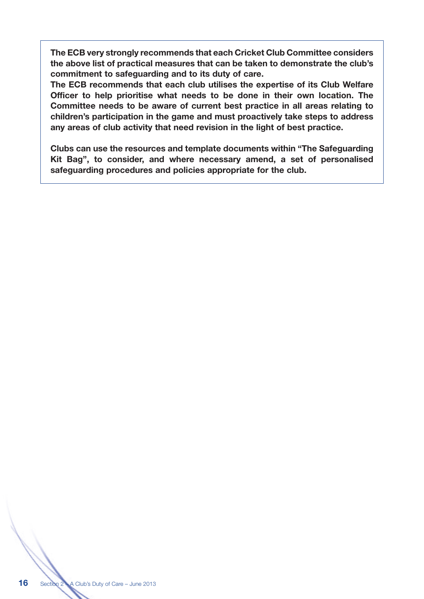**The ECB very strongly recommends that each Cricket Club Committee considers the above list of practical measures that can be taken to demonstrate the club's commitment to safeguarding and to its duty of care.**

**The ECB recommends that each club utilises the expertise of its Club Welfare Officer to help prioritise what needs to be done in their own location. The Committee needs to be aware of current best practice in all areas relating to children's participation in the game and must proactively take steps to address any areas of club activity that need revision in the light of best practice.**

**Clubs can use the resources and template documents within "The Safeguarding Kit Bag", to consider, and where necessary amend, a set of personalised safeguarding procedures and policies appropriate for the club.**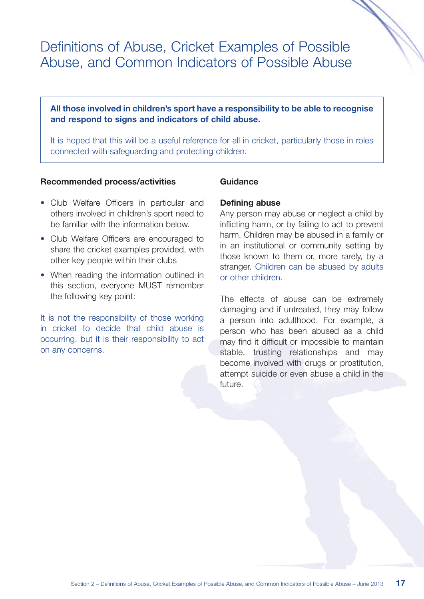## Definitions of Abuse, Cricket Examples of Possible Abuse, and Common Indicators of Possible Abuse

## **All those involved in children's sport have a responsibility to be able to recognise and respond to signs and indicators of child abuse.**

It is hoped that this will be a useful reference for all in cricket, particularly those in roles connected with safeguarding and protecting children.

### **Recommended process/activities**

- Club Welfare Officers in particular and others involved in children's sport need to be familiar with the information below.
- Club Welfare Officers are encouraged to share the cricket examples provided, with other key people within their clubs
- When reading the information outlined in this section, everyone MUST remember the following key point:

It is not the responsibility of those working in cricket to decide that child abuse is occurring, but it is their responsibility to act on any concerns.

### **Guidance**

#### **Defining abuse**

Any person may abuse or neglect a child by inflicting harm, or by failing to act to prevent harm. Children may be abused in a family or in an institutional or community setting by those known to them or, more rarely, by a stranger. Children can be abused by adults or other children.

The effects of abuse can be extremely damaging and if untreated, they may follow a person into adulthood. For example, a person who has been abused as a child may find it difficult or impossible to maintain stable, trusting relationships and may become involved with drugs or prostitution, attempt suicide or even abuse a child in the future.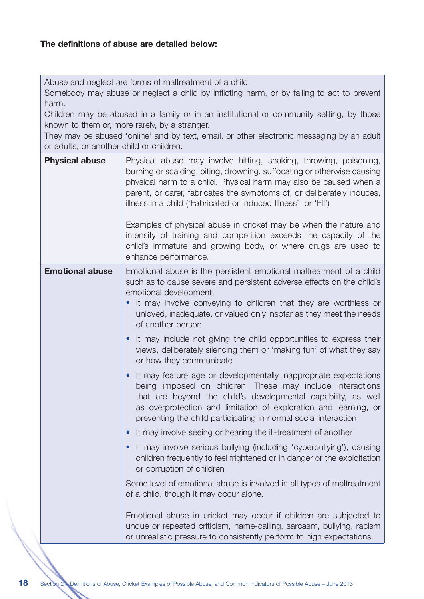## **The definitions of abuse are detailed below:**

Abuse and neglect are forms of maltreatment of a child.

Somebody may abuse or neglect a child by inflicting harm, or by failing to act to prevent harm.

Children may be abused in a family or in an institutional or community setting, by those known to them or, more rarely, by a stranger.

They may be abused 'online' and by text, email, or other electronic messaging by an adult or adults, or another child or children.

| <b>Physical abuse</b>  | Physical abuse may involve hitting, shaking, throwing, poisoning,<br>burning or scalding, biting, drowning, suffocating or otherwise causing<br>physical harm to a child. Physical harm may also be caused when a<br>parent, or carer, fabricates the symptoms of, or deliberately induces,<br>illness in a child ('Fabricated or Induced Illness' or 'FII') |
|------------------------|--------------------------------------------------------------------------------------------------------------------------------------------------------------------------------------------------------------------------------------------------------------------------------------------------------------------------------------------------------------|
|                        | Examples of physical abuse in cricket may be when the nature and<br>intensity of training and competition exceeds the capacity of the<br>child's immature and growing body, or where drugs are used to<br>enhance performance.                                                                                                                               |
| <b>Emotional abuse</b> | Emotional abuse is the persistent emotional maltreatment of a child<br>such as to cause severe and persistent adverse effects on the child's<br>emotional development.<br>It may involve conveying to children that they are worthless or<br>unloved, inadequate, or valued only insofar as they meet the needs<br>of another person                         |
|                        | It may include not giving the child opportunities to express their<br>views, deliberately silencing them or 'making fun' of what they say<br>or how they communicate                                                                                                                                                                                         |
|                        | It may feature age or developmentally inappropriate expectations<br>being imposed on children. These may include interactions<br>that are beyond the child's developmental capability, as well<br>as overprotection and limitation of exploration and learning, or<br>preventing the child participating in normal social interaction                        |
|                        | It may involve seeing or hearing the ill-treatment of another                                                                                                                                                                                                                                                                                                |
|                        | It may involve serious bullying (including 'cyberbullying'), causing<br>children frequently to feel frightened or in danger or the exploitation<br>or corruption of children                                                                                                                                                                                 |
|                        | Some level of emotional abuse is involved in all types of maltreatment<br>of a child, though it may occur alone.                                                                                                                                                                                                                                             |
|                        | Emotional abuse in cricket may occur if children are subjected to<br>undue or repeated criticism, name-calling, sarcasm, bullying, racism<br>or unrealistic pressure to consistently perform to high expectations.                                                                                                                                           |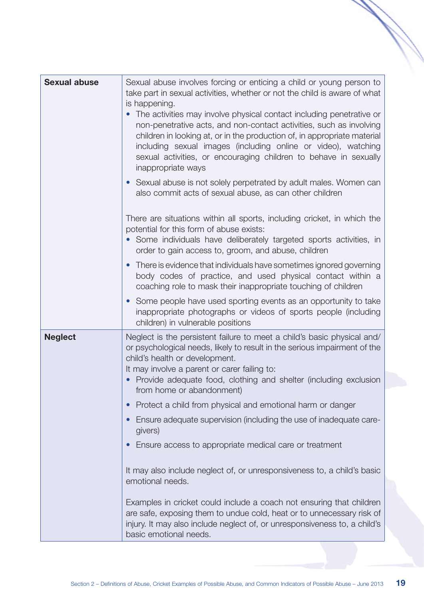| <b>Sexual abuse</b> | Sexual abuse involves forcing or enticing a child or young person to<br>take part in sexual activities, whether or not the child is aware of what<br>is happening.<br>The activities may involve physical contact including penetrative or<br>non-penetrative acts, and non-contact activities, such as involving<br>children in looking at, or in the production of, in appropriate material<br>including sexual images (including online or video), watching<br>sexual activities, or encouraging children to behave in sexually<br>inappropriate ways<br>Sexual abuse is not solely perpetrated by adult males. Women can<br>also commit acts of sexual abuse, as can other children<br>There are situations within all sports, including cricket, in which the<br>potential for this form of abuse exists:<br>Some individuals have deliberately targeted sports activities, in<br>order to gain access to, groom, and abuse, children |  |  |  |
|---------------------|--------------------------------------------------------------------------------------------------------------------------------------------------------------------------------------------------------------------------------------------------------------------------------------------------------------------------------------------------------------------------------------------------------------------------------------------------------------------------------------------------------------------------------------------------------------------------------------------------------------------------------------------------------------------------------------------------------------------------------------------------------------------------------------------------------------------------------------------------------------------------------------------------------------------------------------------|--|--|--|
|                     | There is evidence that individuals have sometimes ignored governing<br>body codes of practice, and used physical contact within a<br>coaching role to mask their inappropriate touching of children                                                                                                                                                                                                                                                                                                                                                                                                                                                                                                                                                                                                                                                                                                                                        |  |  |  |
|                     | Some people have used sporting events as an opportunity to take<br>inappropriate photographs or videos of sports people (including<br>children) in vulnerable positions                                                                                                                                                                                                                                                                                                                                                                                                                                                                                                                                                                                                                                                                                                                                                                    |  |  |  |
| <b>Neglect</b>      | Neglect is the persistent failure to meet a child's basic physical and/<br>or psychological needs, likely to result in the serious impairment of the<br>child's health or development.<br>It may involve a parent or carer failing to:<br>Provide adequate food, clothing and shelter (including exclusion<br>from home or abandonment)                                                                                                                                                                                                                                                                                                                                                                                                                                                                                                                                                                                                    |  |  |  |
|                     | Protect a child from physical and emotional harm or danger                                                                                                                                                                                                                                                                                                                                                                                                                                                                                                                                                                                                                                                                                                                                                                                                                                                                                 |  |  |  |
|                     | Ensure adequate supervision (including the use of inadequate care-<br>givers)                                                                                                                                                                                                                                                                                                                                                                                                                                                                                                                                                                                                                                                                                                                                                                                                                                                              |  |  |  |
|                     | Ensure access to appropriate medical care or treatment                                                                                                                                                                                                                                                                                                                                                                                                                                                                                                                                                                                                                                                                                                                                                                                                                                                                                     |  |  |  |
|                     | It may also include neglect of, or unresponsiveness to, a child's basic<br>emotional needs.                                                                                                                                                                                                                                                                                                                                                                                                                                                                                                                                                                                                                                                                                                                                                                                                                                                |  |  |  |
|                     | Examples in cricket could include a coach not ensuring that children<br>are safe, exposing them to undue cold, heat or to unnecessary risk of<br>injury. It may also include neglect of, or unresponsiveness to, a child's<br>basic emotional needs.                                                                                                                                                                                                                                                                                                                                                                                                                                                                                                                                                                                                                                                                                       |  |  |  |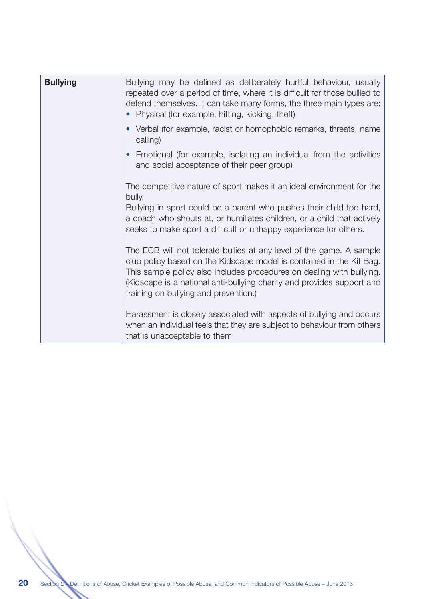| <b>Bullying</b> | Bullying may be defined as deliberately hurtful behaviour, usually<br>repeated over a period of time, where it is difficult for those bullied to<br>defend themselves. It can take many forms, the three main types are:<br>• Physical (for example, hitting, kicking, theft)                                                            |
|-----------------|------------------------------------------------------------------------------------------------------------------------------------------------------------------------------------------------------------------------------------------------------------------------------------------------------------------------------------------|
|                 | • Verbal (for example, racist or homophobic remarks, threats, name<br>calling)                                                                                                                                                                                                                                                           |
|                 | • Emotional (for example, isolating an individual from the activities<br>and social acceptance of their peer group)                                                                                                                                                                                                                      |
|                 | The competitive nature of sport makes it an ideal environment for the<br>bully.                                                                                                                                                                                                                                                          |
|                 | Bullying in sport could be a parent who pushes their child too hard,<br>a coach who shouts at, or humiliates children, or a child that actively<br>seeks to make sport a difficult or unhappy experience for others.                                                                                                                     |
|                 | The ECB will not tolerate bullies at any level of the game. A sample<br>club policy based on the Kidscape model is contained in the Kit Bag.<br>This sample policy also includes procedures on dealing with bullying.<br>(Kidscape is a national anti-bullying charity and provides support and<br>training on bullying and prevention.) |
|                 | Harassment is closely associated with aspects of bullying and occurs<br>when an individual feels that they are subject to behaviour from others<br>that is unacceptable to them.                                                                                                                                                         |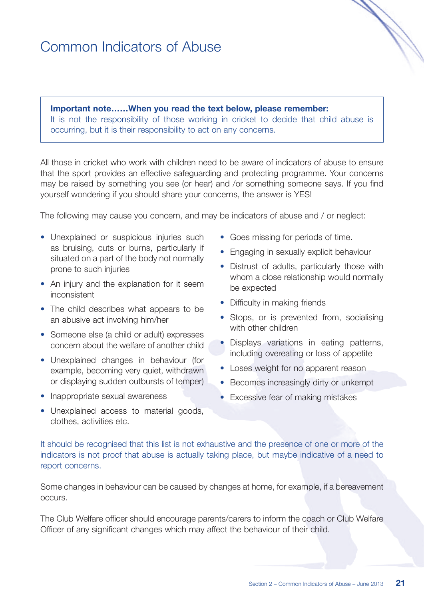# Common Indicators of Abuse

**Important note……When you read the text below, please remember:** It is not the responsibility of those working in cricket to decide that child abuse is occurring, but it is their responsibility to act on any concerns.

All those in cricket who work with children need to be aware of indicators of abuse to ensure that the sport provides an effective safeguarding and protecting programme. Your concerns may be raised by something you see (or hear) and /or something someone says. If you find yourself wondering if you should share your concerns, the answer is YES!

The following may cause you concern, and may be indicators of abuse and / or neglect:

- Unexplained or suspicious injuries such as bruising, cuts or burns, particularly if situated on a part of the body not normally prone to such injuries
- An injury and the explanation for it seem inconsistent
- The child describes what appears to be an abusive act involving him/her
- Someone else (a child or adult) expresses concern about the welfare of another child
- Unexplained changes in behaviour (for example, becoming very quiet, withdrawn or displaying sudden outbursts of temper)
- Inappropriate sexual awareness
- Goes missing for periods of time.
- Engaging in sexually explicit behaviour
- Distrust of adults, particularly those with whom a close relationship would normally be expected
- Difficulty in making friends
- Stops, or is prevented from, socialising with other children
- Displays variations in eating patterns, including overeating or loss of appetite
- Loses weight for no apparent reason
- Becomes increasingly dirty or unkempt
- Excessive fear of making mistakes
- Unexplained access to material goods, clothes, activities etc.

It should be recognised that this list is not exhaustive and the presence of one or more of the indicators is not proof that abuse is actually taking place, but maybe indicative of a need to report concerns.

Some changes in behaviour can be caused by changes at home, for example, if a bereavement occurs.

The Club Welfare officer should encourage parents/carers to inform the coach or Club Welfare Officer of any significant changes which may affect the behaviour of their child.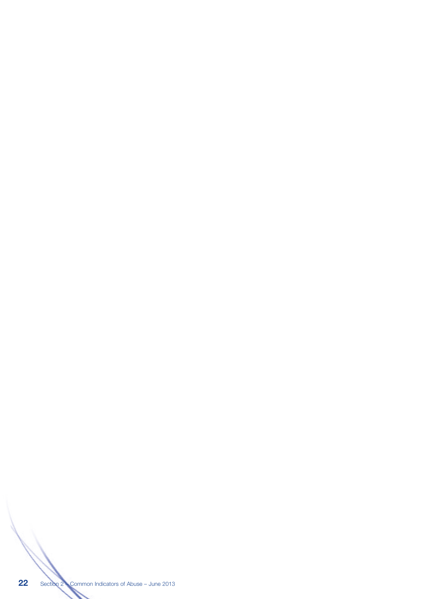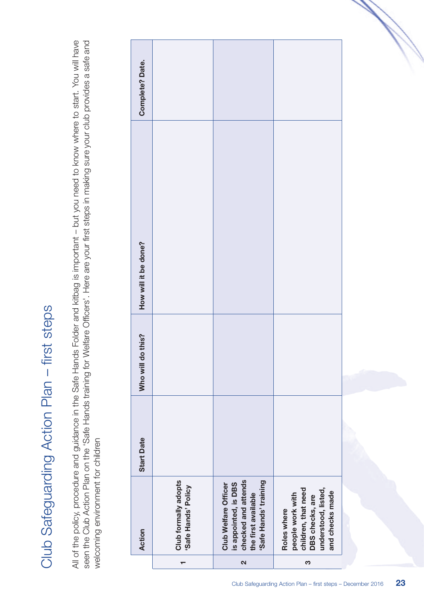# Club Safeguarding Action Plan - first steps Club Safeguarding Action Plan – first steps

All of the policy, procedure and guidance in the Safe Hands Folder and kitbag is important - but you need to know where to start. You will have All of the policy, procedure and guidance in the Safe Hands Folder and kitbag is important – but you need to know where to start. You will have seen the Club Action Plan on the 'Safe Hands training for Welfare Officers'. Here are your first steps in making sure your club provides a safe and seen the Club Action Plan on the 'Safe Hands training for Welfare Officers'. Here are your first steps in making sure your club provides a safe and welcoming environment for children welcoming environment for children

|                         | Action                                                                                                              | <b>Start Date</b> | Who will do this? | How will it be done? | Complete? Date. |
|-------------------------|---------------------------------------------------------------------------------------------------------------------|-------------------|-------------------|----------------------|-----------------|
|                         | Club formally adopts<br>'Safe Hands' Policy                                                                         |                   |                   |                      |                 |
| $\overline{\mathbf{C}}$ | checked and attends<br>'Safe Hands' training<br>is appointed, is DBS<br>Club Welfare Officer<br>the first available |                   |                   |                      |                 |
| M                       | understood, listed,<br>children, that need<br>and checks made<br>people work with<br>DBS checks, are<br>Roles where |                   |                   |                      |                 |